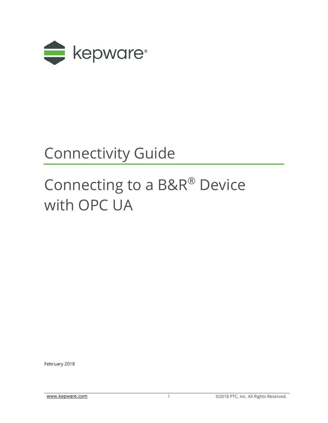

# Connectivity Guide

# Connecting to a B&R® Device with OPC UA

February 2018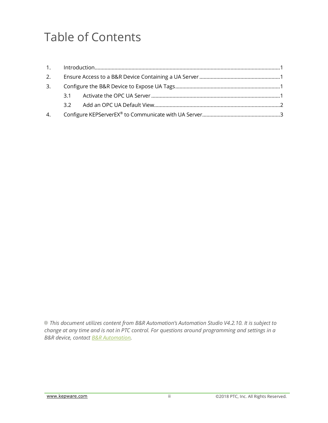## Table of Contents

| 3. |  |  |  |  |
|----|--|--|--|--|
|    |  |  |  |  |
|    |  |  |  |  |
|    |  |  |  |  |

*This document utilizes content from B&R Automation's Automation Studio V4.2.10. It is subject to change at any time and is not in PTC control. For questions around programming and settings in a B&R device, contact [B&R Automation.](https://www.br-automation.com/en/perfection-in-automation/)*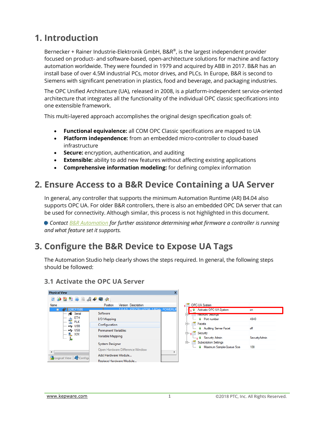### <span id="page-2-0"></span>**1. Introduction**

Bernecker + Rainer Industrie-Elektronik GmbH, B&R®, is the largest independent provider focused on product- and software-based, open-architecture solutions for machine and factory automation worldwide. They were founded in 1979 and acquired by ABB in 2017. B&R has an install base of over 4.5M industrial PCs, motor drives, and PLCs. In Europe, B&R is second to Siemens with significant penetration in plastics, food and beverage, and packaging industries.

The OPC Unified Architecture (UA), released in 2008, is a platform-independent service-oriented architecture that integrates all the functionality of the individual OPC classic specifications into one extensible framework.

This multi-layered approach accomplishes the original design specification goals of:

- **Functional equivalence:** all COM OPC Classic specifications are mapped to UA
- **Platform independence:** from an embedded micro-controller to cloud-based infrastructure
- **Secure:** encryption, authentication, and auditing
- **Extensible:** ability to add new features without affecting existing applications
- **Comprehensive information modeling:** for defining complex information

#### <span id="page-2-1"></span>**2. Ensure Access to a B&R Device Containing a UA Server**

In general, any controller that supports the minimum Automation Runtime (AR) B4.04 also supports OPC UA. For older B&R controllers, there is also an embedded OPC DA server that can be used for connectivity. Although similar, this process is not highlighted in this document.

*Contact [B&R Automation](https://www.br-automation.com/en/perfection-in-automation/) for further assistance determining what firmware a controller is running and what feature set it supports.*

### <span id="page-2-2"></span>**3. Configure the B&R Device to Expose UA Tags**

The Automation Studio help clearly shows the steps required. In general, the following steps should be followed:

#### **Physical View** 2023364444 Position Version Description Name  $\bigoplus$  Serial Software **ETH** I/O Mapping Configuration  $\leftarrow$  USB  $\leftarrow$  USB Permanent Variables X<sub>2</sub>X Variable Mapping System Designer Open Hardware Difference Window  $\leftarrow$ Add Hardware Module... **B** Logical View  $\left|\mathcal{L}\right>$  Configu Replace Hardware Module



#### <span id="page-2-3"></span>**3.1 Activate the OPC UA Server**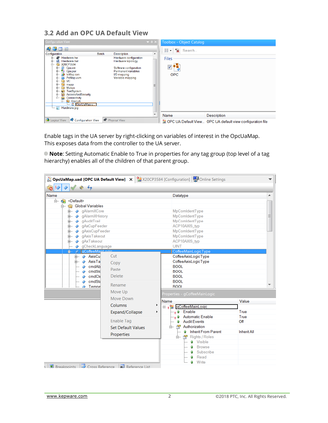#### <span id="page-3-0"></span>**3.2 Add an OPC UA Default View**

| <b>Configuration View</b>                                                                                                                                                                                                     |                                                                                                                                                                       | $\rightarrow$ $\sqrt{2}$ | Toolbox - Object Catalog                                                |
|-------------------------------------------------------------------------------------------------------------------------------------------------------------------------------------------------------------------------------|-----------------------------------------------------------------------------------------------------------------------------------------------------------------------|--------------------------|-------------------------------------------------------------------------|
| m<br>墨<br>63<br>Configuration<br>Hardware.hw<br>Ė-<br>룄<br>Hardware.hwl<br>Ėŀ<br>ė-<br>X20CP3584<br>∲-<br>æ<br>Cpu.sw<br>$\mathbf{e}$<br>中<br>中<br>Cpu.per<br>$\bullet$<br>loMap.iom<br>ė<br>ė<br>PvMap.vvm<br>◇<br><b>VC</b> | <b>Batch</b><br><b>Description</b><br>Hardware configuration<br>Hardware topology<br>Software configuration<br>Permanent variables<br>I/O mapping<br>Variable mapping | ▲                        | $\frac{1}{2}$<br>$\mathbf{\mathbf{R}}$<br>Search<br>Files<br><b>OPC</b> |
| ė−<br>mapp<br><b>Motion</b><br>Ė-<br>a<br>中一<br>TextSystem<br><b>AccessAndSecurity</b><br>皇<br>da T<br>Connectivity<br><b>OpcUA</b><br>Ė-<br>OpcUaMap.u<br>æ<br>Hardware.jpg                                                  |                                                                                                                                                                       | 亖                        |                                                                         |
|                                                                                                                                                                                                                               |                                                                                                                                                                       | $\overline{\phantom{a}}$ | Name<br><b>Description</b>                                              |
| Configuration View<br><b>B</b> Logical View                                                                                                                                                                                   | Physical View                                                                                                                                                         |                          | CHI OPC UA Default View OPC UA default view configuration file          |

Enable tags in the UA server by right-clicking on variables of interest in the OpcUaMap. This exposes data from the controller to the UA server.

**Note**: Setting Automatic Enable to True in properties for any tag group (top level of a tag hierarchy) enables all of the children of that parent group.

| Name                                           |                           | Datatype                                       |                    |  |
|------------------------------------------------|---------------------------|------------------------------------------------|--------------------|--|
| Ė-<br>63<br><default></default>                |                           |                                                |                    |  |
| 白 Global Variables                             |                           |                                                |                    |  |
| 由 → gAlarmXCore                                |                           | MpComIdentType                                 |                    |  |
| 由… ◆ gAlarmXHistory                            |                           | MpComIdentType                                 |                    |  |
| m → qAuditTrail                                |                           | MpComIdentType                                 |                    |  |
| m → qAxCupFeeder                               |                           | ACP10AXIS typ                                  |                    |  |
| d gAxisCupFeeder                               |                           | MpComIdentType                                 |                    |  |
| <b>ф</b> — <> qAxisTakeout                     |                           | MpComIdentType                                 |                    |  |
| 由 ◆ gAxTakeout                                 |                           | ACP10AXIS typ<br><b>UINT</b>                   |                    |  |
| - o gCheckLanguage<br>gCoffeeMaintoni<br>Ė… ⊘. |                           | CoffeeMainLogicType                            |                    |  |
| <b>E- ⊘ AxisCu</b>                             | Cut                       | CoffeeAxisLogicType                            |                    |  |
| 由 ◇ AxisTa                                     |                           | CoffeeAxisLogicType                            |                    |  |
| $\Diamond$ cmdAb                               | Copy                      | <b>BOOL</b>                                    |                    |  |
| $\Diamond$ cmdStd                              | Paste                     | <b>BOOL</b>                                    |                    |  |
| $\Diamond$ cmdCle                              | <b>Delete</b>             | <b>BOOL</b>                                    |                    |  |
| $\Diamond$ cmdSta                              |                           | <b>BOOL</b>                                    |                    |  |
| $\Box$ $\Diamond$ Tempe                        | Rename                    | <b>BOOL</b>                                    |                    |  |
|                                                | Move Up                   | Properties - gCoffeeMainLogic                  |                    |  |
|                                                | Move Down                 |                                                |                    |  |
|                                                | Columns                   | Name<br>r                                      | Value              |  |
|                                                |                           | □ gCoffeeMainLogic                             |                    |  |
|                                                | Expand/Collapse           | <sub>.</sub> . O Enable<br>Þ.                  | True<br>True       |  |
|                                                | <b>Enable Tag</b>         | O Automatic Enable<br><b>Audit Events</b><br>0 | Off                |  |
|                                                | <b>Set Default Values</b> | Authorization<br>户…                            |                    |  |
|                                                |                           | <b>Inherit From Parent</b><br>۰                | <b>Inherit All</b> |  |
|                                                | Properties                | 白 图 Rights / Roles                             |                    |  |
|                                                |                           | - O Visible                                    |                    |  |
|                                                |                           | <b>Browse</b><br>$\mathbf{r}$                  |                    |  |
|                                                |                           | - © Subscribe                                  |                    |  |
|                                                |                           |                                                |                    |  |